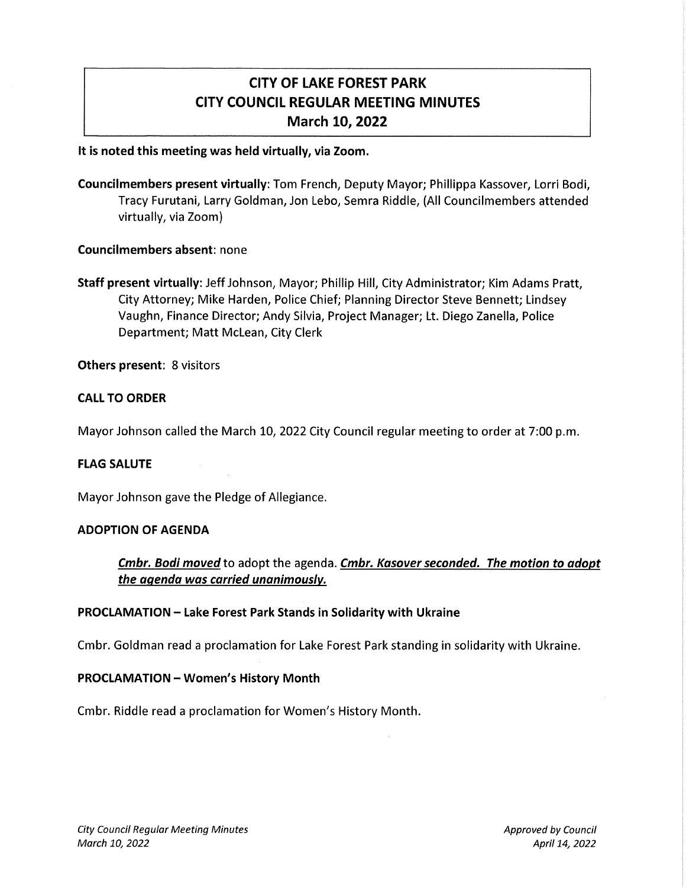# CITY OF LAKE FOREST PARK CITY COUNCIL REGULAR MEETING MINUTES March 10, 2022

#### It is noted this meeting was held virtually, via Zoom.

Councilmembers present virtually: Tom French, Deputy Mayor; Phillippa Kassover, Lorri Bodi, Tracy Furutani, Larry Goldman, Jon Lebo, Semra Riddle, (All Councilmembers attended virtually, via Zoom)

#### Councilmembers absent: none

Staff present virtually: Jeff Johnson, Mayor; Phillip Hill, City Administrator; Kim Adams Pratt, City Attorney; Mike Harden, Police Chief; Planning Director Steve Bennett; Lindsey Vaughn, Finance Director; Andy Silvia, Project Manager; Lt. Diego Zanella, Police Department; Matt Mclean, City Clerk

Others present: 8 visitors

## CALL TO ORDER

Mayor Johnson called the March 10, 2022 City Council regular meeting to order at 7:00 p.m.

#### FLAG SALUTE

Mayor Johnson gave the Pledge of Allegiance.

#### ADOPTION OF AGENDA

Cmbr. Bodi moved to adopt the agenda. Cmbr. Kasover seconded. The motion to adopt the agenda was carried unanimously.

## PROCLAMATION - Lake Forest Park Stands in Solidarity with Ukraine

Cmbr. Goldman read a proclamation for Lake Forest Park standing in solidarity with Ukraine.

## PROCLAMATION - Women's History Month

Cmbr. Riddle read a proclamation for Women's History Month.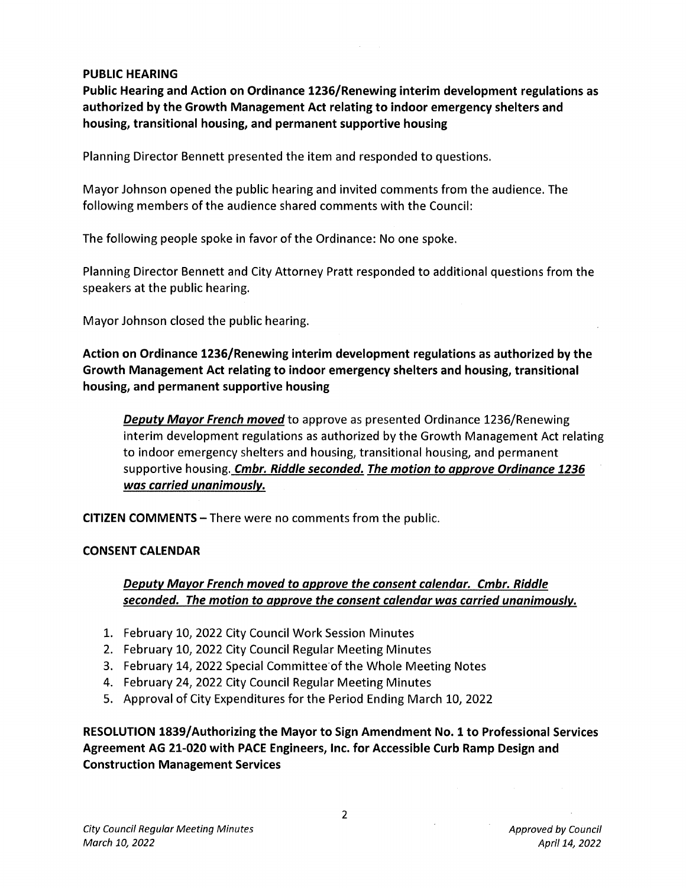# PUBLIC HEARING

Public Hearing and Action on Ordinance 1236/Renewing interim development regulations as authorized by the Growth Management Act relating to indoor emergency shelters and housing, transitional housing, and permanent supportive housing

Planning Director Bennett presented the item and responded to questions.

Mayor Johnson opened the public hearing and invited comments from the audience. The following members of the audience shared comments with the Council:

The following people spoke in favor of the Ordinance: No one spoke.

Planning Director Bennett and City Attorney Pratt responded to additional questions from the speakers at the public hearing.

Mayor Johnson closed the public hearing.

Action on Ordinance 1236/Renewing interim development regulations as authorized by the Growth Management Act relating to indoor emergency shelters and housing, transitional housing, and permanent supportive housing

**Deputy Mayor French moved** to approve as presented Ordinance 1236/Renewing interim development regulations as authorized by the Growth Management Act relating to indoor emergency shelters and housing, transitional housing, and permanent supportive housing. Cmbr. Riddle seconded. The motion to approve Ordinance 1236 was carried unanimously.

CITIZEN COMMENTS - There were no comments from the public.

# CONSENT CALENDAR

Deputy Mayor French moved to approve the consent calendar. Cmbr. Riddle seconded. The motion to approve the consent calendar was carried unanimously.

- 1. February 10, 2022 City Council Work Session Minutes
- 2. February 10, 2022 City Council Regular Meeting Minutes
- 3. February 14, 2022 Special Committee· of the Whole Meeting Notes
- 4. February 24, 2022 City Council Regular Meeting Minutes
- 5. Approval of City Expenditures for the Period Ending March 10, 2022

RESOLUTION 1839/ Authorizing the Mayor to Sign Amendment No. 1 to Professional Services Agreement AG 21-020 with PACE Engineers, Inc. for Accessible Curb Ramp Design and Construction Management Services